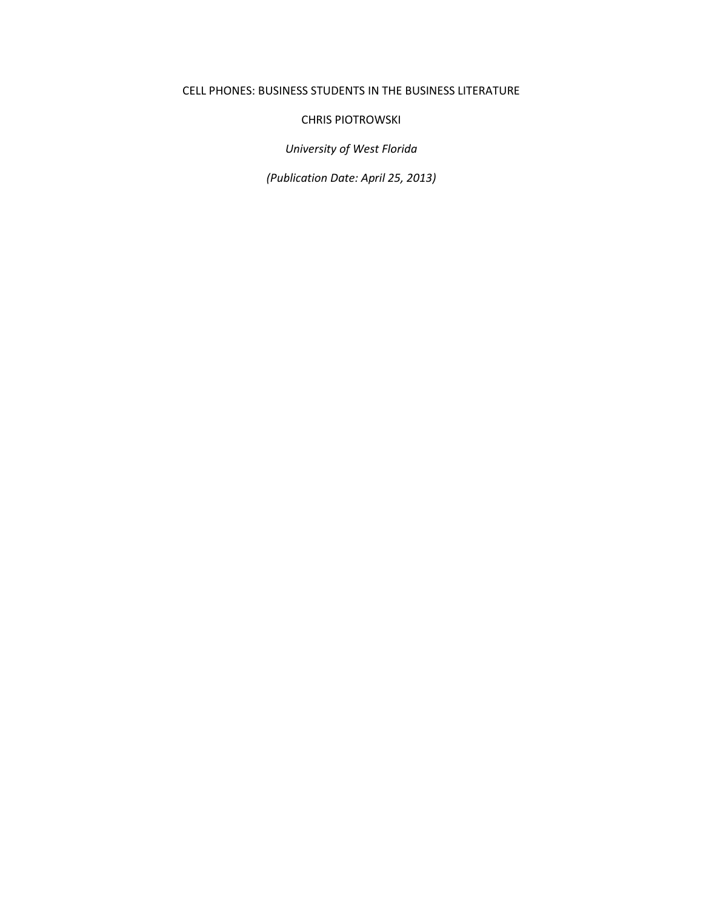# CELL PHONES: BUSINESS STUDENTS IN THE BUSINESS LITERATURE

CHRIS PIOTROWSKI

*University of West Florida*

*(Publication Date: April 25, 2013)*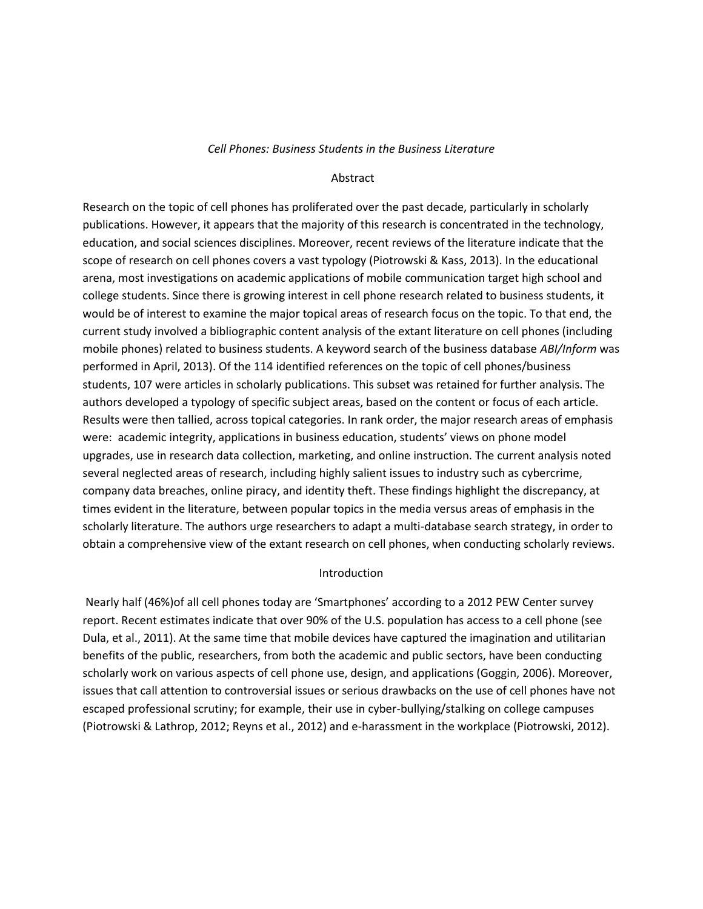#### *Cell Phones: Business Students in the Business Literature*

#### Abstract

Research on the topic of cell phones has proliferated over the past decade, particularly in scholarly publications. However, it appears that the majority of this research is concentrated in the technology, education, and social sciences disciplines. Moreover, recent reviews of the literature indicate that the scope of research on cell phones covers a vast typology (Piotrowski & Kass, 2013). In the educational arena, most investigations on academic applications of mobile communication target high school and college students. Since there is growing interest in cell phone research related to business students, it would be of interest to examine the major topical areas of research focus on the topic. To that end, the current study involved a bibliographic content analysis of the extant literature on cell phones (including mobile phones) related to business students. A keyword search of the business database *ABI/Inform* was performed in April, 2013). Of the 114 identified references on the topic of cell phones/business students, 107 were articles in scholarly publications. This subset was retained for further analysis. The authors developed a typology of specific subject areas, based on the content or focus of each article. Results were then tallied, across topical categories. In rank order, the major research areas of emphasis were: academic integrity, applications in business education, students' views on phone model upgrades, use in research data collection, marketing, and online instruction. The current analysis noted several neglected areas of research, including highly salient issues to industry such as cybercrime, company data breaches, online piracy, and identity theft. These findings highlight the discrepancy, at times evident in the literature, between popular topics in the media versus areas of emphasis in the scholarly literature. The authors urge researchers to adapt a multi-database search strategy, in order to obtain a comprehensive view of the extant research on cell phones, when conducting scholarly reviews.

## Introduction

Nearly half (46%)of all cell phones today are 'Smartphones' according to a 2012 PEW Center survey report. Recent estimates indicate that over 90% of the U.S. population has access to a cell phone (see Dula, et al., 2011). At the same time that mobile devices have captured the imagination and utilitarian benefits of the public, researchers, from both the academic and public sectors, have been conducting scholarly work on various aspects of cell phone use, design, and applications (Goggin, 2006). Moreover, issues that call attention to controversial issues or serious drawbacks on the use of cell phones have not escaped professional scrutiny; for example, their use in cyber-bullying/stalking on college campuses (Piotrowski & Lathrop, 2012; Reyns et al., 2012) and e-harassment in the workplace (Piotrowski, 2012).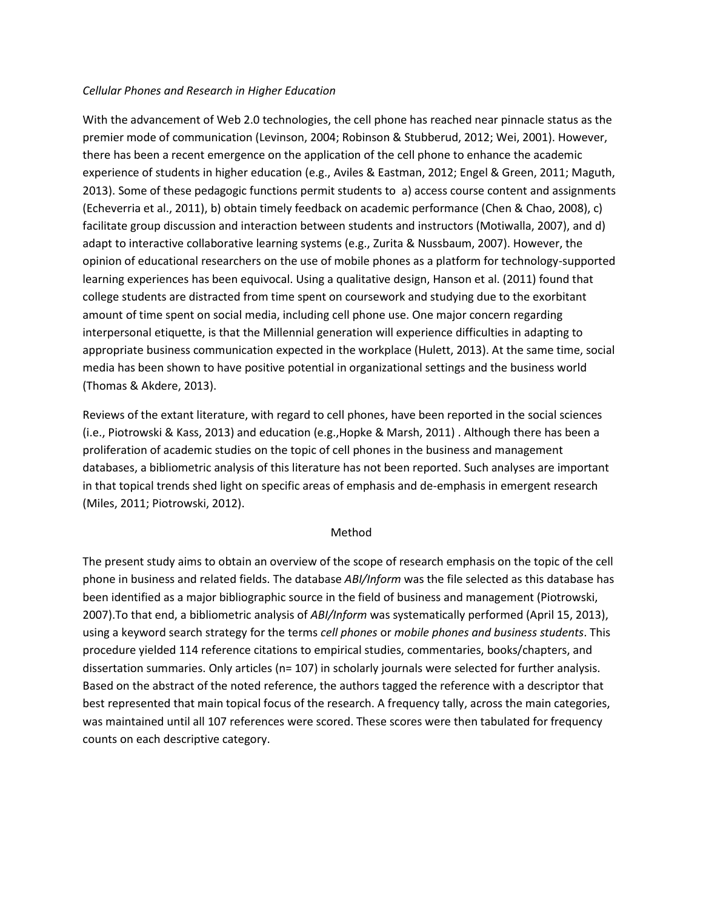## *Cellular Phones and Research in Higher Education*

With the advancement of Web 2.0 technologies, the cell phone has reached near pinnacle status as the premier mode of communication (Levinson, 2004; Robinson & Stubberud, 2012; Wei, 2001). However, there has been a recent emergence on the application of the cell phone to enhance the academic experience of students in higher education (e.g., Aviles & Eastman, 2012; Engel & Green, 2011; Maguth, 2013). Some of these pedagogic functions permit students to a) access course content and assignments (Echeverria et al., 2011), b) obtain timely feedback on academic performance (Chen & Chao, 2008), c) facilitate group discussion and interaction between students and instructors (Motiwalla, 2007), and d) adapt to interactive collaborative learning systems (e.g., Zurita & Nussbaum, 2007). However, the opinion of educational researchers on the use of mobile phones as a platform for technology-supported learning experiences has been equivocal. Using a qualitative design, Hanson et al. (2011) found that college students are distracted from time spent on coursework and studying due to the exorbitant amount of time spent on social media, including cell phone use. One major concern regarding interpersonal etiquette, is that the Millennial generation will experience difficulties in adapting to appropriate business communication expected in the workplace (Hulett, 2013). At the same time, social media has been shown to have positive potential in organizational settings and the business world (Thomas & Akdere, 2013).

Reviews of the extant literature, with regard to cell phones, have been reported in the social sciences (i.e., Piotrowski & Kass, 2013) and education (e.g.,Hopke & Marsh, 2011) . Although there has been a proliferation of academic studies on the topic of cell phones in the business and management databases, a bibliometric analysis of this literature has not been reported. Such analyses are important in that topical trends shed light on specific areas of emphasis and de-emphasis in emergent research (Miles, 2011; Piotrowski, 2012).

## Method

The present study aims to obtain an overview of the scope of research emphasis on the topic of the cell phone in business and related fields. The database *ABI/Inform* was the file selected as this database has been identified as a major bibliographic source in the field of business and management (Piotrowski, 2007).To that end, a bibliometric analysis of *ABI/Inform* was systematically performed (April 15, 2013), using a keyword search strategy for the terms *cell phones* or *mobile phones and business students*. This procedure yielded 114 reference citations to empirical studies, commentaries, books/chapters, and dissertation summaries. Only articles (n= 107) in scholarly journals were selected for further analysis. Based on the abstract of the noted reference, the authors tagged the reference with a descriptor that best represented that main topical focus of the research. A frequency tally, across the main categories, was maintained until all 107 references were scored. These scores were then tabulated for frequency counts on each descriptive category.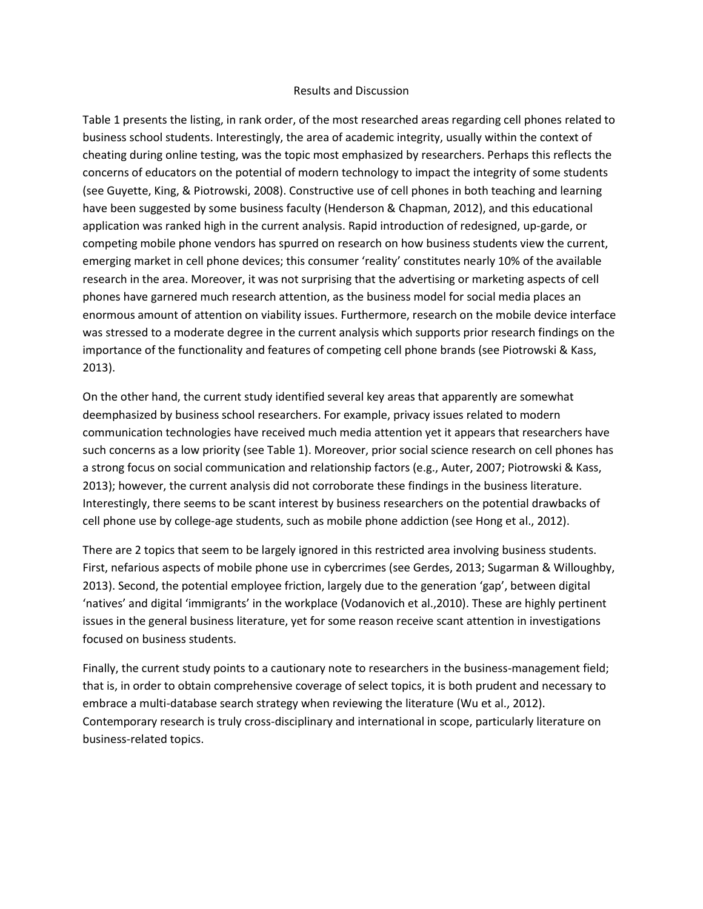## Results and Discussion

Table 1 presents the listing, in rank order, of the most researched areas regarding cell phones related to business school students. Interestingly, the area of academic integrity, usually within the context of cheating during online testing, was the topic most emphasized by researchers. Perhaps this reflects the concerns of educators on the potential of modern technology to impact the integrity of some students (see Guyette, King, & Piotrowski, 2008). Constructive use of cell phones in both teaching and learning have been suggested by some business faculty (Henderson & Chapman, 2012), and this educational application was ranked high in the current analysis. Rapid introduction of redesigned, up-garde, or competing mobile phone vendors has spurred on research on how business students view the current, emerging market in cell phone devices; this consumer 'reality' constitutes nearly 10% of the available research in the area. Moreover, it was not surprising that the advertising or marketing aspects of cell phones have garnered much research attention, as the business model for social media places an enormous amount of attention on viability issues. Furthermore, research on the mobile device interface was stressed to a moderate degree in the current analysis which supports prior research findings on the importance of the functionality and features of competing cell phone brands (see Piotrowski & Kass, 2013).

On the other hand, the current study identified several key areas that apparently are somewhat deemphasized by business school researchers. For example, privacy issues related to modern communication technologies have received much media attention yet it appears that researchers have such concerns as a low priority (see Table 1). Moreover, prior social science research on cell phones has a strong focus on social communication and relationship factors (e.g., Auter, 2007; Piotrowski & Kass, 2013); however, the current analysis did not corroborate these findings in the business literature. Interestingly, there seems to be scant interest by business researchers on the potential drawbacks of cell phone use by college-age students, such as mobile phone addiction (see Hong et al., 2012).

There are 2 topics that seem to be largely ignored in this restricted area involving business students. First, nefarious aspects of mobile phone use in cybercrimes (see Gerdes, 2013; Sugarman & Willoughby, 2013). Second, the potential employee friction, largely due to the generation 'gap', between digital 'natives' and digital 'immigrants' in the workplace (Vodanovich et al.,2010). These are highly pertinent issues in the general business literature, yet for some reason receive scant attention in investigations focused on business students.

Finally, the current study points to a cautionary note to researchers in the business-management field; that is, in order to obtain comprehensive coverage of select topics, it is both prudent and necessary to embrace a multi-database search strategy when reviewing the literature (Wu et al., 2012). Contemporary research is truly cross-disciplinary and international in scope, particularly literature on business-related topics.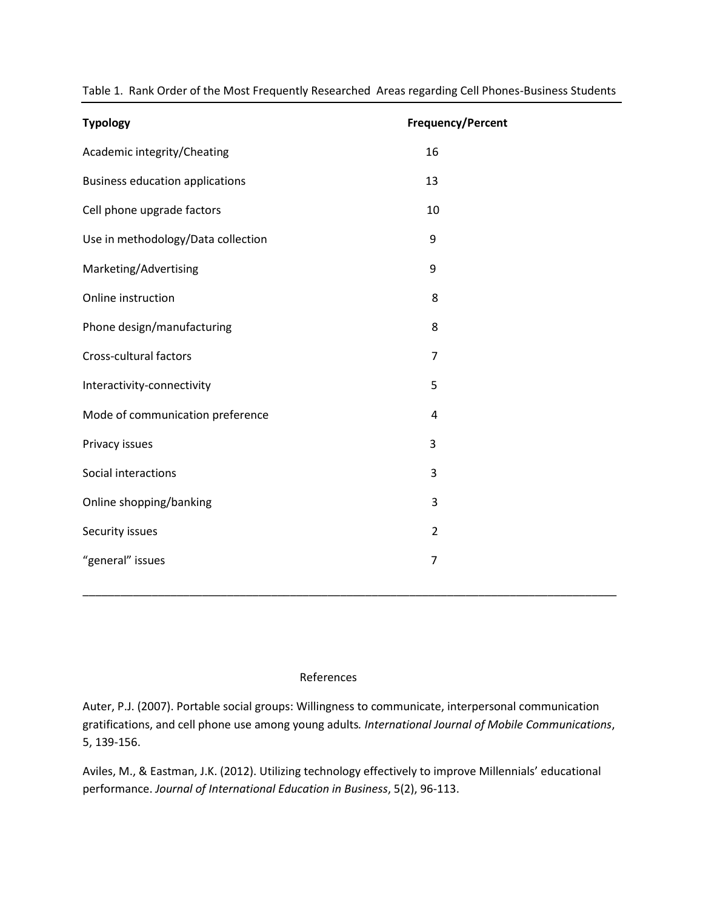| <b>Typology</b>                        | Frequency/Percent |
|----------------------------------------|-------------------|
| Academic integrity/Cheating            | 16                |
| <b>Business education applications</b> | 13                |
| Cell phone upgrade factors             | 10                |
| Use in methodology/Data collection     | 9                 |
| Marketing/Advertising                  | 9                 |
| Online instruction                     | 8                 |
| Phone design/manufacturing             | 8                 |
| Cross-cultural factors                 | 7                 |
| Interactivity-connectivity             | 5                 |
| Mode of communication preference       | 4                 |
| Privacy issues                         | 3                 |
| Social interactions                    | 3                 |
| Online shopping/banking                | 3                 |
| Security issues                        | $\overline{2}$    |
| "general" issues                       | $\overline{7}$    |
|                                        |                   |

Table 1. Rank Order of the Most Frequently Researched Areas regarding Cell Phones-Business Students

## References

Auter, P.J. (2007). Portable social groups: Willingness to communicate, interpersonal communication gratifications, and cell phone use among young adults*. International Journal of Mobile Communications*, 5, 139-156.

Aviles, M., & Eastman, J.K. (2012). Utilizing technology effectively to improve Millennials' educational performance. *Journal of International Education in Business*, 5(2), 96-113.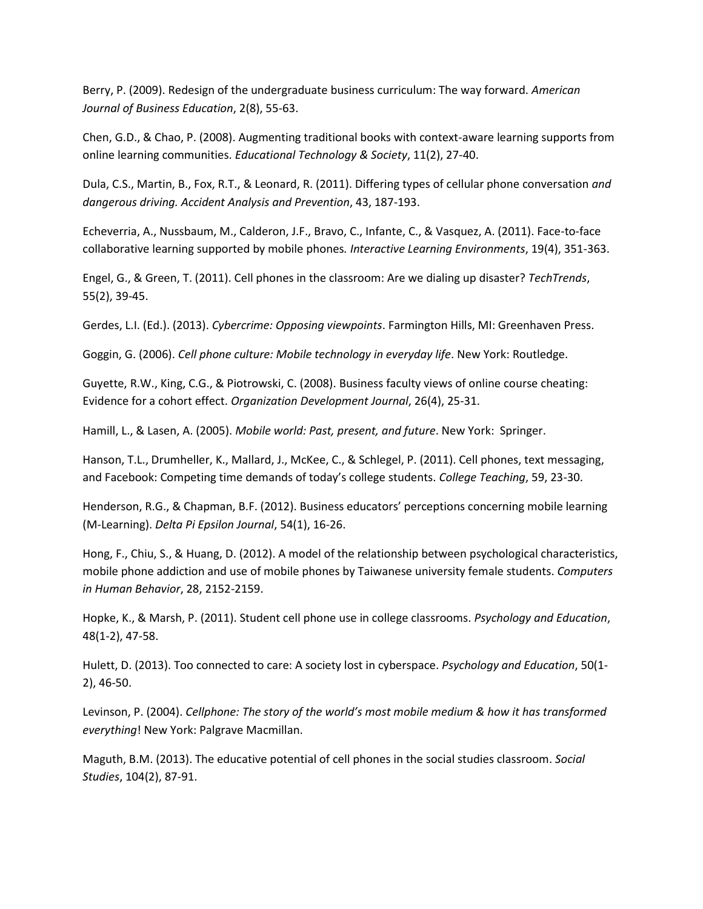Berry, P. (2009). Redesign of the undergraduate business curriculum: The way forward. *American Journal of Business Education*, 2(8), 55-63.

Chen, G.D., & Chao, P. (2008). Augmenting traditional books with context-aware learning supports from online learning communities. *Educational Technology & Society*, 11(2), 27-40.

Dula, C.S., Martin, B., Fox, R.T., & Leonard, R. (2011). Differing types of cellular phone conversation *and dangerous driving. Accident Analysis and Prevention*, 43, 187-193.

Echeverria, A., Nussbaum, M., Calderon, J.F., Bravo, C., Infante, C., & Vasquez, A. (2011). Face-to-face collaborative learning supported by mobile phones*. Interactive Learning Environments*, 19(4), 351-363.

Engel, G., & Green, T. (2011). Cell phones in the classroom: Are we dialing up disaster? *TechTrends*, 55(2), 39-45.

Gerdes, L.I. (Ed.). (2013). *Cybercrime: Opposing viewpoints*. Farmington Hills, MI: Greenhaven Press.

Goggin, G. (2006). *Cell phone culture: Mobile technology in everyday life*. New York: Routledge.

Guyette, R.W., King, C.G., & Piotrowski, C. (2008). Business faculty views of online course cheating: Evidence for a cohort effect. *Organization Development Journal*, 26(4), 25-31.

Hamill, L., & Lasen, A. (2005). *Mobile world: Past, present, and future*. New York: Springer.

Hanson, T.L., Drumheller, K., Mallard, J., McKee, C., & Schlegel, P. (2011). Cell phones, text messaging, and Facebook: Competing time demands of today's college students. *College Teaching*, 59, 23-30.

Henderson, R.G., & Chapman, B.F. (2012). Business educators' perceptions concerning mobile learning (M-Learning). *Delta Pi Epsilon Journal*, 54(1), 16-26.

Hong, F., Chiu, S., & Huang, D. (2012). A model of the relationship between psychological characteristics, mobile phone addiction and use of mobile phones by Taiwanese university female students. *Computers in Human Behavior*, 28, 2152-2159.

Hopke, K., & Marsh, P. (2011). Student cell phone use in college classrooms. *Psychology and Education*, 48(1-2), 47-58.

Hulett, D. (2013). Too connected to care: A society lost in cyberspace. *Psychology and Education*, 50(1- 2), 46-50.

Levinson, P. (2004). *Cellphone: The story of the world's most mobile medium & how it has transformed everything*! New York: Palgrave Macmillan.

Maguth, B.M. (2013). The educative potential of cell phones in the social studies classroom. *Social Studies*, 104(2), 87-91.